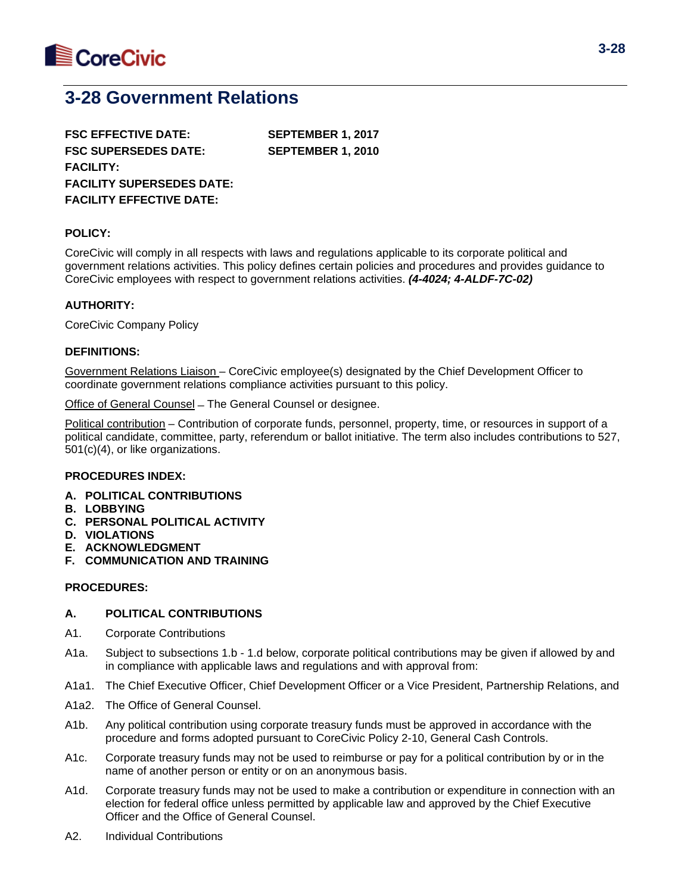

# **3-28 Government Relations**

**FSC EFFECTIVE DATE: SEPTEMBER 1, 2017 FSC SUPERSEDES DATE: SEPTEMBER 1, 2010 FACILITY: FACILITY SUPERSEDES DATE: FACILITY EFFECTIVE DATE:**

## **POLICY:**

CoreCivic will comply in all respects with laws and regulations applicable to its corporate political and government relations activities. This policy defines certain policies and procedures and provides guidance to CoreCivic employees with respect to government relations activities. *(4-4024; 4-ALDF-7C-02)*

## **AUTHORITY:**

CoreCivic Company Policy

## **DEFINITIONS:**

Government Relations Liaison – CoreCivic employee(s) designated by the Chief Development Officer to coordinate government relations compliance activities pursuant to this policy.

Office of General Counsel ̶ The General Counsel or designee.

Political contribution – Contribution of corporate funds, personnel, property, time, or resources in support of a political candidate, committee, party, referendum or ballot initiative. The term also includes contributions to 527, 501(c)(4), or like organizations.

## **PROCEDURES INDEX:**

- **A. POLITICAL CONTRIBUTIONS**
- **B. LOBBYING**
- **C. PERSONAL POLITICAL ACTIVITY**
- **D. VIOLATIONS**
- **E. ACKNOWLEDGMENT**
- **F. COMMUNICATION AND TRAINING**

## **PROCEDURES:**

## **A. POLITICAL CONTRIBUTIONS**

- A1. Corporate Contributions
- A1a. Subject to subsections 1.b 1.d below, corporate political contributions may be given if allowed by and in compliance with applicable laws and regulations and with approval from:
- A1a1. The Chief Executive Officer, Chief Development Officer or a Vice President, Partnership Relations, and
- A1a2. The Office of General Counsel.
- A1b. Any political contribution using corporate treasury funds must be approved in accordance with the procedure and forms adopted pursuant to CoreCivic Policy 2-10, General Cash Controls.
- A1c. Corporate treasury funds may not be used to reimburse or pay for a political contribution by or in the name of another person or entity or on an anonymous basis.
- A1d. Corporate treasury funds may not be used to make a contribution or expenditure in connection with an election for federal office unless permitted by applicable law and approved by the Chief Executive Officer and the Office of General Counsel.
- A2. Individual Contributions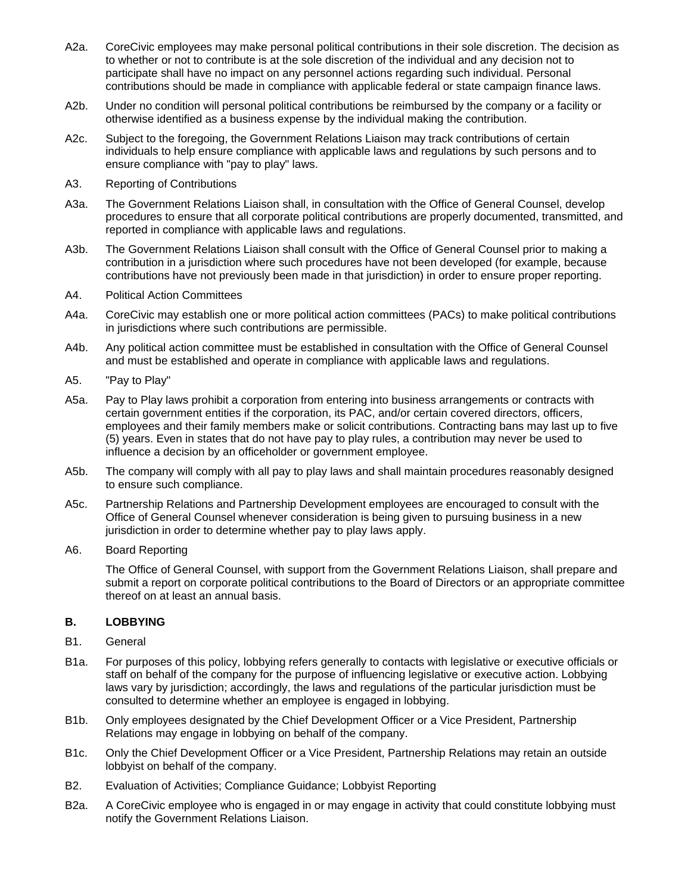- A2a. CoreCivic employees may make personal political contributions in their sole discretion. The decision as to whether or not to contribute is at the sole discretion of the individual and any decision not to participate shall have no impact on any personnel actions regarding such individual. Personal contributions should be made in compliance with applicable federal or state campaign finance laws.
- A2b. Under no condition will personal political contributions be reimbursed by the company or a facility or otherwise identified as a business expense by the individual making the contribution.
- A2c. Subject to the foregoing, the Government Relations Liaison may track contributions of certain individuals to help ensure compliance with applicable laws and regulations by such persons and to ensure compliance with "pay to play" laws.
- A3. Reporting of Contributions
- A3a. The Government Relations Liaison shall, in consultation with the Office of General Counsel, develop procedures to ensure that all corporate political contributions are properly documented, transmitted, and reported in compliance with applicable laws and regulations.
- A3b. The Government Relations Liaison shall consult with the Office of General Counsel prior to making a contribution in a jurisdiction where such procedures have not been developed (for example, because contributions have not previously been made in that jurisdiction) in order to ensure proper reporting.
- A4. Political Action Committees
- A4a. CoreCivic may establish one or more political action committees (PACs) to make political contributions in jurisdictions where such contributions are permissible.
- A4b. Any political action committee must be established in consultation with the Office of General Counsel and must be established and operate in compliance with applicable laws and regulations.
- A5. "Pay to Play"
- A5a. Pay to Play laws prohibit a corporation from entering into business arrangements or contracts with certain government entities if the corporation, its PAC, and/or certain covered directors, officers, employees and their family members make or solicit contributions. Contracting bans may last up to five (5) years. Even in states that do not have pay to play rules, a contribution may never be used to influence a decision by an officeholder or government employee.
- A5b. The company will comply with all pay to play laws and shall maintain procedures reasonably designed to ensure such compliance.
- A5c. Partnership Relations and Partnership Development employees are encouraged to consult with the Office of General Counsel whenever consideration is being given to pursuing business in a new jurisdiction in order to determine whether pay to play laws apply.
- A6. Board Reporting

The Office of General Counsel, with support from the Government Relations Liaison, shall prepare and submit a report on corporate political contributions to the Board of Directors or an appropriate committee thereof on at least an annual basis.

## **B. LOBBYING**

- B1. General
- B1a. For purposes of this policy, lobbying refers generally to contacts with legislative or executive officials or staff on behalf of the company for the purpose of influencing legislative or executive action. Lobbying laws vary by jurisdiction; accordingly, the laws and regulations of the particular jurisdiction must be consulted to determine whether an employee is engaged in lobbying.
- B1b. Only employees designated by the Chief Development Officer or a Vice President, Partnership Relations may engage in lobbying on behalf of the company.
- B1c. Only the Chief Development Officer or a Vice President, Partnership Relations may retain an outside lobbyist on behalf of the company.
- B2. Evaluation of Activities; Compliance Guidance; Lobbyist Reporting
- B2a. A CoreCivic employee who is engaged in or may engage in activity that could constitute lobbying must notify the Government Relations Liaison.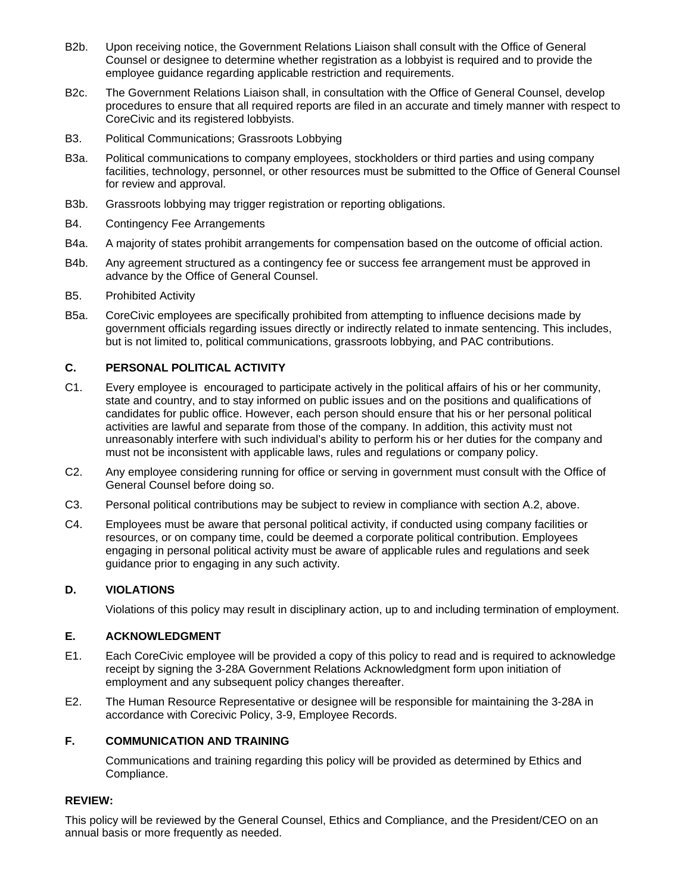- B2b. Upon receiving notice, the Government Relations Liaison shall consult with the Office of General Counsel or designee to determine whether registration as a lobbyist is required and to provide the employee guidance regarding applicable restriction and requirements.
- B2c. The Government Relations Liaison shall, in consultation with the Office of General Counsel, develop procedures to ensure that all required reports are filed in an accurate and timely manner with respect to CoreCivic and its registered lobbyists.
- B3. Political Communications; Grassroots Lobbying
- B3a. Political communications to company employees, stockholders or third parties and using company facilities, technology, personnel, or other resources must be submitted to the Office of General Counsel for review and approval.
- B3b. Grassroots lobbying may trigger registration or reporting obligations.
- B4. Contingency Fee Arrangements
- B4a. A majority of states prohibit arrangements for compensation based on the outcome of official action.
- B4b. Any agreement structured as a contingency fee or success fee arrangement must be approved in advance by the Office of General Counsel.
- B5. Prohibited Activity
- B5a. CoreCivic employees are specifically prohibited from attempting to influence decisions made by government officials regarding issues directly or indirectly related to inmate sentencing. This includes, but is not limited to, political communications, grassroots lobbying, and PAC contributions.

# **C. PERSONAL POLITICAL ACTIVITY**

- C1. Every employee is encouraged to participate actively in the political affairs of his or her community, state and country, and to stay informed on public issues and on the positions and qualifications of candidates for public office. However, each person should ensure that his or her personal political activities are lawful and separate from those of the company. In addition, this activity must not unreasonably interfere with such individual's ability to perform his or her duties for the company and must not be inconsistent with applicable laws, rules and regulations or company policy.
- C2. Any employee considering running for office or serving in government must consult with the Office of General Counsel before doing so.
- C3. Personal political contributions may be subject to review in compliance with section A.2, above.
- C4. Employees must be aware that personal political activity, if conducted using company facilities or resources, or on company time, could be deemed a corporate political contribution. Employees engaging in personal political activity must be aware of applicable rules and regulations and seek guidance prior to engaging in any such activity.

## **D. VIOLATIONS**

Violations of this policy may result in disciplinary action, up to and including termination of employment.

## **E. ACKNOWLEDGMENT**

- E1. Each CoreCivic employee will be provided a copy of this policy to read and is required to acknowledge receipt by signing the 3-28A Government Relations Acknowledgment form upon initiation of employment and any subsequent policy changes thereafter.
- E2. The Human Resource Representative or designee will be responsible for maintaining the 3-28A in accordance with Corecivic Policy, 3-9, Employee Records.

## **F. COMMUNICATION AND TRAINING**

Communications and training regarding this policy will be provided as determined by Ethics and Compliance.

## **REVIEW:**

This policy will be reviewed by the General Counsel, Ethics and Compliance, and the President/CEO on an annual basis or more frequently as needed.